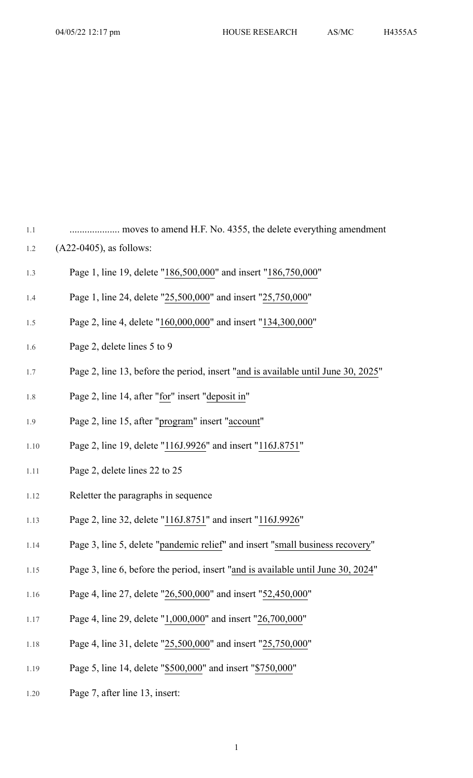1.1 .................... moves to amend H.F. No. 4355, the delete everything amendment

- 1.2 (A22-0405), as follows:
- 1.3 Page 1, line 19, delete "186,500,000" and insert "186,750,000"
- 1.4 Page 1, line 24, delete "25,500,000" and insert "25,750,000"
- 1.5 Page 2, line 4, delete "160,000,000" and insert "134,300,000"
- 1.6 Page 2, delete lines 5 to 9
- 1.7 Page 2, line 13, before the period, insert "and is available until June 30, 2025"
- 1.8 Page 2, line 14, after "for" insert "deposit in"
- 1.9 Page 2, line 15, after "program" insert "account"
- 1.10 Page 2, line 19, delete "116J.9926" and insert "116J.8751"
- 1.11 Page 2, delete lines 22 to 25
- 1.12 Reletter the paragraphs in sequence
- 1.13 Page 2, line 32, delete "116J.8751" and insert "116J.9926"
- 1.14 Page 3, line 5, delete "pandemic relief" and insert "small business recovery"
- 1.15 Page 3, line 6, before the period, insert "and is available until June 30, 2024"
- 1.16 Page 4, line 27, delete "26,500,000" and insert "52,450,000"
- 1.17 Page 4, line 29, delete "1,000,000" and insert "26,700,000"
- 1.18 Page 4, line 31, delete "25,500,000" and insert "25,750,000"
- 1.19 Page 5, line 14, delete "\$500,000" and insert "\$750,000"
- 1.20 Page 7, after line 13, insert: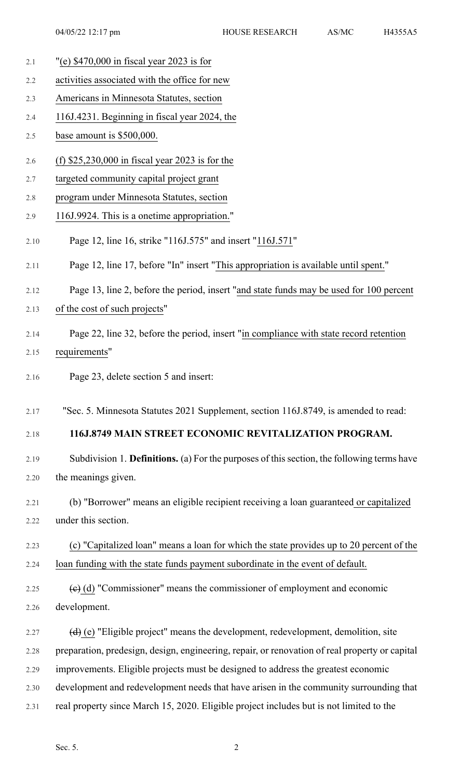- 2.1 "(e) \$470,000 in fiscal year 2023 is for
- 2.2 activities associated with the office for new
- 2.3 Americans in Minnesota Statutes, section
- 2.4 116J.4231. Beginning in fiscal year 2024, the
- 2.5 base amount is \$500,000.
- 2.6 (f) \$25,230,000 in fiscal year 2023 is for the
- 2.7 targeted community capital project grant
- 2.8 program under Minnesota Statutes, section
- 2.9 116J.9924. This is a onetime appropriation."
- 2.10 Page 12, line 16, strike "116J.575" and insert "116J.571"
- 2.11 Page 12, line 17, before "In" insert "This appropriation is available until spent."
- 2.12 Page 13, line 2, before the period, insert "and state funds may be used for 100 percent
- 2.13 of the cost of such projects"
- 2.14 Page 22, line 32, before the period, insert "in compliance with state record retention 2.15 requirements"
- 2.16 Page 23, delete section 5 and insert:

2.17 "Sec. 5. Minnesota Statutes 2021 Supplement, section 116J.8749, is amended to read:

## 2.18 **116J.8749 MAIN STREET ECONOMIC REVITALIZATION PROGRAM.**

2.19 Subdivision 1. **Definitions.** (a) For the purposes of thissection, the following terms have 2.20 the meanings given.

- 2.21 (b) "Borrower" means an eligible recipient receiving a loan guaranteed or capitalized 2.22 under this section.
- 2.23 (c) "Capitalized loan" means a loan for which the state provides up to 20 percent of the 2.24 loan funding with the state funds payment subordinate in the event of default.
- 2.25  $\left(\mathbf{e}\right)$  (d) "Commissioner" means the commissioner of employment and economic 2.26 development.
- 2.27  $(d)$  (e) "Eligible project" means the development, redevelopment, demolition, site 2.28 preparation, predesign, design, engineering, repair, or renovation of real property or capital 2.29 improvements. Eligible projects must be designed to address the greatest economic 2.30 development and redevelopment needs that have arisen in the community surrounding that 2.31 real property since March 15, 2020. Eligible project includes but is not limited to the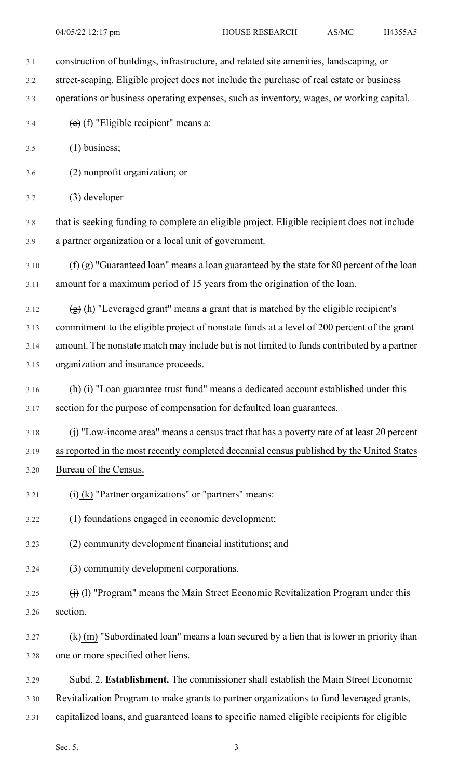- 3.2 street-scaping. Eligible project does not include the purchase of real estate or business
- 3.3 operations or business operating expenses, such as inventory, wages, or working capital.
- 3.4  $(e)$  (f) "Eligible recipient" means a:
- 3.5 (1) business;
- 3.6 (2) nonprofit organization; or
- 3.7 (3) developer
- 3.8 that is seeking funding to complete an eligible project. Eligible recipient does not include 3.9 a partner organization or a local unit of government.
- 3.10  $(f)(g)$  "Guaranteed loan" means a loan guaranteed by the state for 80 percent of the loan 3.11 amount for a maximum period of 15 years from the origination of the loan.
- 3.12  $(g)$  (h) "Leveraged grant" means a grant that is matched by the eligible recipient's
- 3.13 commitment to the eligible project of nonstate funds at a level of 200 percent of the grant
- 3.14 amount. The nonstate match may include but is not limited to funds contributed by a partner 3.15 organization and insurance proceeds.
- 3.16  $\left(\frac{h}{v}\right)$  "Loan guarantee trust fund" means a dedicated account established under this 3.17 section for the purpose of compensation for defaulted loan guarantees.
- 3.18 (j) "Low-income area" means a census tract that has a poverty rate of at least 20 percent 3.19 as reported in the most recently completed decennial census published by the United States 3.20 Bureau of the Census.
- 3.21  $\qquad \qquad (i)$  (k) "Partner organizations" or "partners" means:
- 3.22 (1) foundations engaged in economic development;
- 3.23 (2) community development financial institutions; and
- 3.24 (3) community development corporations.
- $3.25$  (i) (l) "Program" means the Main Street Economic Revitalization Program under this 3.26 section.
- 3.27  $(k)$  (m) "Subordinated loan" means a loan secured by a lien that is lower in priority than 3.28 one or more specified other liens.
- 3.29 Subd. 2. **Establishment.** The commissioner shall establish the Main Street Economic
- 3.30 Revitalization Program to make grants to partner organizations to fund leveraged grants,
- 3.31 capitalized loans, and guaranteed loans to specific named eligible recipients for eligible
	- Sec. 5.  $\hspace{3.5cm}3$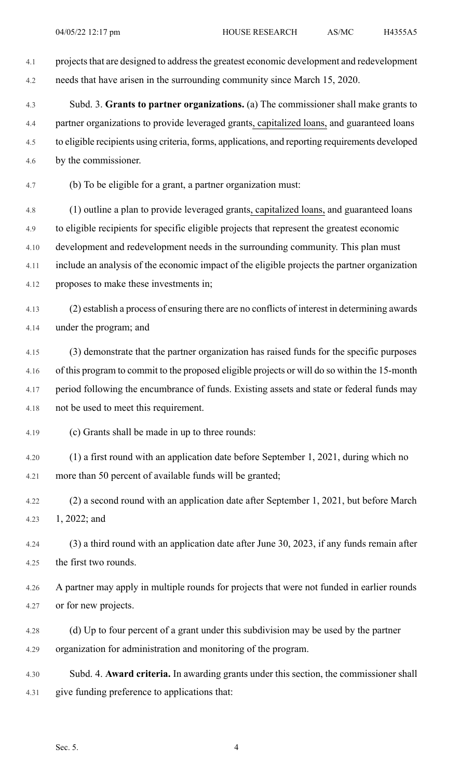4.1 projects that are designed to address the greatest economic development and redevelopment 4.2 needs that have arisen in the surrounding community since March 15, 2020.

4.3 Subd. 3. **Grants to partner organizations.** (a) The commissioner shall make grants to 4.4 partner organizations to provide leveraged grants, capitalized loans, and guaranteed loans 4.5 to eligible recipients using criteria, forms, applications, and reporting requirements developed 4.6 by the commissioner.

4.7 (b) To be eligible for a grant, a partner organization must:

4.8 (1) outline a plan to provide leveraged grants, capitalized loans, and guaranteed loans 4.9 to eligible recipients for specific eligible projects that represent the greatest economic 4.10 development and redevelopment needs in the surrounding community. This plan must 4.11 include an analysis of the economic impact of the eligible projects the partner organization 4.12 proposes to make these investments in;

- 4.13 (2) establish a process of ensuring there are no conflicts of interest in determining awards 4.14 under the program; and
- 4.15 (3) demonstrate that the partner organization has raised funds for the specific purposes 4.16 of this program to commit to the proposed eligible projects or will do so within the 15-month 4.17 period following the encumbrance of funds. Existing assets and state or federal funds may 4.18 not be used to meet this requirement.

4.19 (c) Grants shall be made in up to three rounds:

4.20 (1) a first round with an application date before September 1, 2021, during which no 4.21 more than 50 percent of available funds will be granted;

4.22 (2) a second round with an application date after September 1, 2021, but before March 4.23 1, 2022; and

4.24 (3) a third round with an application date after June 30, 2023, if any funds remain after 4.25 the first two rounds.

- 4.26 A partner may apply in multiple rounds for projects that were not funded in earlier rounds 4.27 or for new projects.
- 4.28 (d) Up to four percent of a grant under this subdivision may be used by the partner 4.29 organization for administration and monitoring of the program.
- 4.30 Subd. 4. **Award criteria.** In awarding grants under this section, the commissioner shall 4.31 give funding preference to applications that: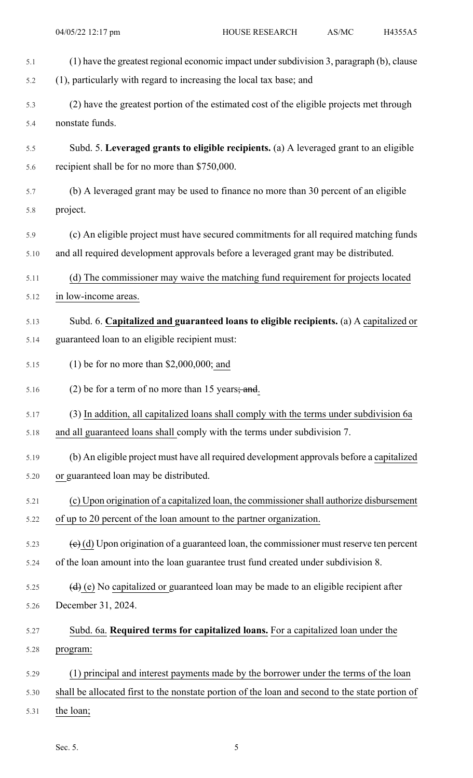| 5.1  | (1) have the greatest regional economic impact under subdivision 3, paragraph (b), clause                       |
|------|-----------------------------------------------------------------------------------------------------------------|
| 5.2  | (1), particularly with regard to increasing the local tax base; and                                             |
| 5.3  | (2) have the greatest portion of the estimated cost of the eligible projects met through                        |
| 5.4  | nonstate funds.                                                                                                 |
| 5.5  | Subd. 5. Leveraged grants to eligible recipients. (a) A leveraged grant to an eligible                          |
| 5.6  | recipient shall be for no more than \$750,000.                                                                  |
| 5.7  | (b) A leveraged grant may be used to finance no more than 30 percent of an eligible                             |
| 5.8  | project.                                                                                                        |
| 5.9  | (c) An eligible project must have secured commitments for all required matching funds                           |
| 5.10 | and all required development approvals before a leveraged grant may be distributed.                             |
| 5.11 | (d) The commissioner may waive the matching fund requirement for projects located                               |
| 5.12 | in low-income areas.                                                                                            |
| 5.13 | Subd. 6. Capitalized and guaranteed loans to eligible recipients. (a) A capitalized or                          |
| 5.14 | guaranteed loan to an eligible recipient must:                                                                  |
| 5.15 | $(1)$ be for no more than \$2,000,000; and                                                                      |
| 5.16 | $(2)$ be for a term of no more than 15 years; and.                                                              |
| 5.17 | (3) In addition, all capitalized loans shall comply with the terms under subdivision 6a                         |
| 5.18 | and all guaranteed loans shall comply with the terms under subdivision 7.                                       |
| 5.19 | (b) An eligible project must have all required development approvals before a capitalized                       |
| 5.20 | or guaranteed loan may be distributed.                                                                          |
| 5.21 | (c) Upon origination of a capitalized loan, the commissioner shall authorize disbursement                       |
| 5.22 | of up to 20 percent of the loan amount to the partner organization.                                             |
| 5.23 | $\left(\frac{e}{e}\right)$ (d) Upon origination of a guaranteed loan, the commissioner must reserve ten percent |
| 5.24 | of the loan amount into the loan guarantee trust fund created under subdivision 8.                              |
| 5.25 | $\left(\frac{d}{d}\right)$ (e) No capitalized or guaranteed loan may be made to an eligible recipient after     |
| 5.26 | December 31, 2024.                                                                                              |
| 5.27 | Subd. 6a. Required terms for capitalized loans. For a capitalized loan under the                                |
| 5.28 | program:                                                                                                        |
| 5.29 | (1) principal and interest payments made by the borrower under the terms of the loan                            |
| 5.30 | shall be allocated first to the nonstate portion of the loan and second to the state portion of                 |
| 5.31 | the loan;                                                                                                       |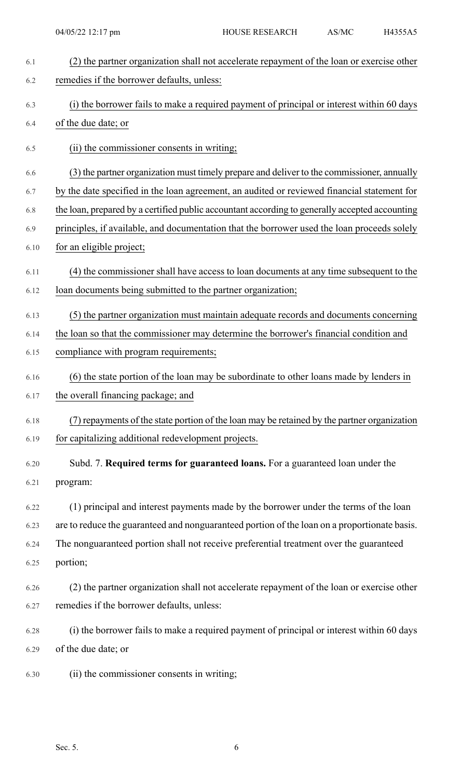| 6.1  | (2) the partner organization shall not accelerate repayment of the loan or exercise other      |
|------|------------------------------------------------------------------------------------------------|
| 6.2  | remedies if the borrower defaults, unless:                                                     |
| 6.3  | (i) the borrower fails to make a required payment of principal or interest within 60 days      |
| 6.4  | of the due date; or                                                                            |
| 6.5  | (ii) the commissioner consents in writing;                                                     |
| 6.6  | (3) the partner organization must timely prepare and deliver to the commissioner, annually     |
| 6.7  | by the date specified in the loan agreement, an audited or reviewed financial statement for    |
| 6.8  | the loan, prepared by a certified public accountant according to generally accepted accounting |
| 6.9  | principles, if available, and documentation that the borrower used the loan proceeds solely    |
| 6.10 | for an eligible project;                                                                       |
| 6.11 | (4) the commissioner shall have access to loan documents at any time subsequent to the         |
| 6.12 | loan documents being submitted to the partner organization;                                    |
| 6.13 | (5) the partner organization must maintain adequate records and documents concerning           |
| 6.14 | the loan so that the commissioner may determine the borrower's financial condition and         |
| 6.15 | compliance with program requirements;                                                          |
| 6.16 | (6) the state portion of the loan may be subordinate to other loans made by lenders in         |
| 6.17 | the overall financing package; and                                                             |
| 6.18 | (7) repayments of the state portion of the loan may be retained by the partner organization    |
| 6.19 | for capitalizing additional redevelopment projects.                                            |
| 6.20 | Subd. 7. Required terms for guaranteed loans. For a guaranteed loan under the                  |
| 6.21 | program:                                                                                       |
| 6.22 | (1) principal and interest payments made by the borrower under the terms of the loan           |
| 6.23 | are to reduce the guaranteed and nonguaranteed portion of the loan on a proportionate basis.   |
| 6.24 | The nonguaranteed portion shall not receive preferential treatment over the guaranteed         |
| 6.25 | portion;                                                                                       |
| 6.26 | (2) the partner organization shall not accelerate repayment of the loan or exercise other      |
| 6.27 | remedies if the borrower defaults, unless:                                                     |
| 6.28 | (i) the borrower fails to make a required payment of principal or interest within 60 days      |
| 6.29 | of the due date; or                                                                            |
| 6.30 | (ii) the commissioner consents in writing;                                                     |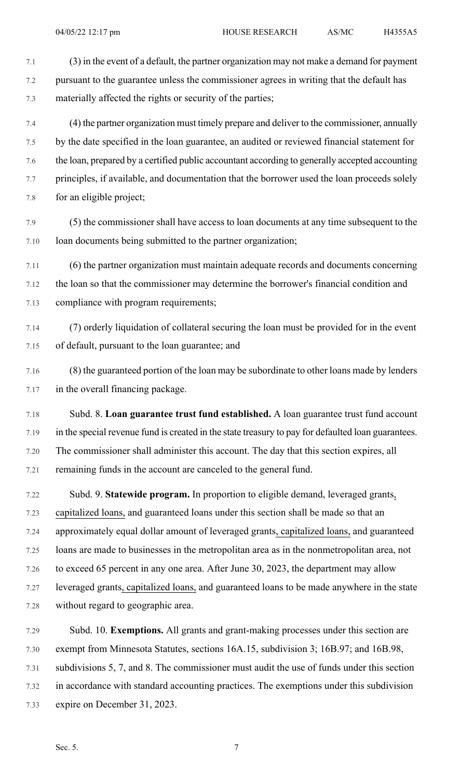7.1 (3) in the event of a default, the partner organization may not make a demand for payment 7.2 pursuant to the guarantee unless the commissioner agrees in writing that the default has 7.3 materially affected the rights or security of the parties;

7.4 (4) the partner organization must timely prepare and deliver to the commissioner, annually 7.5 by the date specified in the loan guarantee, an audited or reviewed financial statement for 7.6 the loan, prepared by a certified public accountant according to generally accepted accounting 7.7 principles, if available, and documentation that the borrower used the loan proceeds solely 7.8 for an eligible project;

7.9 (5) the commissioner shall have access to loan documents at any time subsequent to the 7.10 loan documents being submitted to the partner organization;

7.11 (6) the partner organization must maintain adequate records and documents concerning 7.12 the loan so that the commissioner may determine the borrower's financial condition and 7.13 compliance with program requirements;

- 7.14 (7) orderly liquidation of collateral securing the loan must be provided for in the event 7.15 of default, pursuant to the loan guarantee; and
- 7.16 (8) the guaranteed portion of the loan may be subordinate to other loans made by lenders 7.17 in the overall financing package.
- 7.18 Subd. 8. **Loan guarantee trust fund established.** A loan guarantee trust fund account 7.19 in the special revenue fund is created in the state treasury to pay for defaulted loan guarantees. 7.20 The commissioner shall administer this account. The day that this section expires, all 7.21 remaining funds in the account are canceled to the general fund.
- 7.22 Subd. 9. **Statewide program.** In proportion to eligible demand, leveraged grants, 7.23 capitalized loans, and guaranteed loans under this section shall be made so that an 7.24 approximately equal dollar amount of leveraged grants, capitalized loans, and guaranteed 7.25 loans are made to businesses in the metropolitan area as in the nonmetropolitan area, not 7.26 to exceed 65 percent in any one area. After June 30, 2023, the department may allow 7.27 leveraged grants, capitalized loans, and guaranteed loans to be made anywhere in the state 7.28 without regard to geographic area.

7.29 Subd. 10. **Exemptions.** All grants and grant-making processes under this section are 7.30 exempt from Minnesota Statutes, sections 16A.15, subdivision 3; 16B.97; and 16B.98, 7.31 subdivisions 5, 7, and 8. The commissioner must audit the use of funds under this section 7.32 in accordance with standard accounting practices. The exemptions under this subdivision 7.33 expire on December 31, 2023.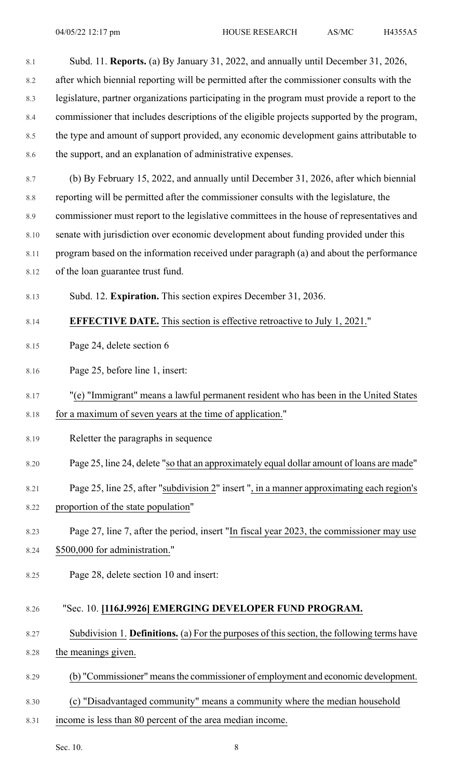| 8.1     | Subd. 11. Reports. (a) By January 31, 2022, and annually until December 31, 2026,            |
|---------|----------------------------------------------------------------------------------------------|
| 8.2     | after which biennial reporting will be permitted after the commissioner consults with the    |
| 8.3     | legislature, partner organizations participating in the program must provide a report to the |
| 8.4     | commissioner that includes descriptions of the eligible projects supported by the program,   |
| 8.5     | the type and amount of support provided, any economic development gains attributable to      |
| 8.6     | the support, and an explanation of administrative expenses.                                  |
| 8.7     | (b) By February 15, 2022, and annually until December 31, 2026, after which biennial         |
| $8.8\,$ | reporting will be permitted after the commissioner consults with the legislature, the        |
| 8.9     | commissioner must report to the legislative committees in the house of representatives and   |
| 8.10    | senate with jurisdiction over economic development about funding provided under this         |
| 8.11    | program based on the information received under paragraph (a) and about the performance      |
| 8.12    | of the loan guarantee trust fund.                                                            |
| 8.13    | Subd. 12. Expiration. This section expires December 31, 2036.                                |
| 8.14    | <b>EFFECTIVE DATE.</b> This section is effective retroactive to July 1, 2021."               |
| 8.15    | Page 24, delete section 6                                                                    |
| 8.16    | Page 25, before line 1, insert:                                                              |
| 8.17    | "(e) "Immigrant" means a lawful permanent resident who has been in the United States         |
| 8.18    | for a maximum of seven years at the time of application."                                    |
| 8.19    | Reletter the paragraphs in sequence                                                          |
| 8.20    | Page 25, line 24, delete "so that an approximately equal dollar amount of loans are made"    |
| 8.21    | Page 25, line 25, after "subdivision 2" insert ", in a manner approximating each region's    |
| 8.22    | proportion of the state population"                                                          |
| 8.23    | Page 27, line 7, after the period, insert "In fiscal year 2023, the commissioner may use     |
| 8.24    | \$500,000 for administration."                                                               |
| 8.25    | Page 28, delete section 10 and insert:                                                       |
| 8.26    | "Sec. 10. [116J.9926] EMERGING DEVELOPER FUND PROGRAM.                                       |
| 8.27    | Subdivision 1. Definitions. (a) For the purposes of this section, the following terms have   |
| 8.28    | the meanings given.                                                                          |
| 8.29    | (b) "Commissioner" means the commissioner of employment and economic development.            |
| 8.30    | (c) "Disadvantaged community" means a community where the median household                   |
| 8.31    | income is less than 80 percent of the area median income.                                    |

Sec. 10. 8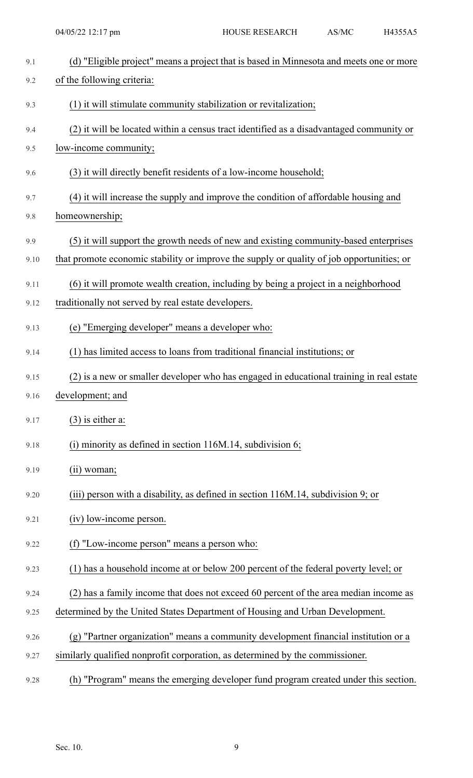| 9.1  | (d) "Eligible project" means a project that is based in Minnesota and meets one or more   |
|------|-------------------------------------------------------------------------------------------|
| 9.2  | of the following criteria:                                                                |
| 9.3  | (1) it will stimulate community stabilization or revitalization;                          |
| 9.4  | (2) it will be located within a census tract identified as a disadvantaged community or   |
| 9.5  | low-income community;                                                                     |
| 9.6  | (3) it will directly benefit residents of a low-income household;                         |
| 9.7  | (4) it will increase the supply and improve the condition of affordable housing and       |
| 9.8  | homeownership;                                                                            |
| 9.9  | (5) it will support the growth needs of new and existing community-based enterprises      |
| 9.10 | that promote economic stability or improve the supply or quality of job opportunities; or |
| 9.11 | (6) it will promote wealth creation, including by being a project in a neighborhood       |
| 9.12 | traditionally not served by real estate developers.                                       |
| 9.13 | (e) "Emerging developer" means a developer who:                                           |
| 9.14 | (1) has limited access to loans from traditional financial institutions; or               |
| 9.15 | (2) is a new or smaller developer who has engaged in educational training in real estate  |
| 9.16 | development; and                                                                          |
| 9.17 | $(3)$ is either a:                                                                        |
| 9.18 | $(i)$ minority as defined in section 116M.14, subdivision 6;                              |
| 9.19 | $(ii)$ woman;                                                                             |
| 9.20 | (iii) person with a disability, as defined in section 116M.14, subdivision 9; or          |
| 9.21 | (iv) low-income person.                                                                   |
| 9.22 | (f) "Low-income person" means a person who:                                               |
| 9.23 | (1) has a household income at or below 200 percent of the federal poverty level; or       |
| 9.24 | (2) has a family income that does not exceed 60 percent of the area median income as      |
| 9.25 | determined by the United States Department of Housing and Urban Development.              |
| 9.26 | (g) "Partner organization" means a community development financial institution or a       |
| 9.27 | similarly qualified nonprofit corporation, as determined by the commissioner.             |

9.28 (h) "Program" means the emerging developer fund program created under this section.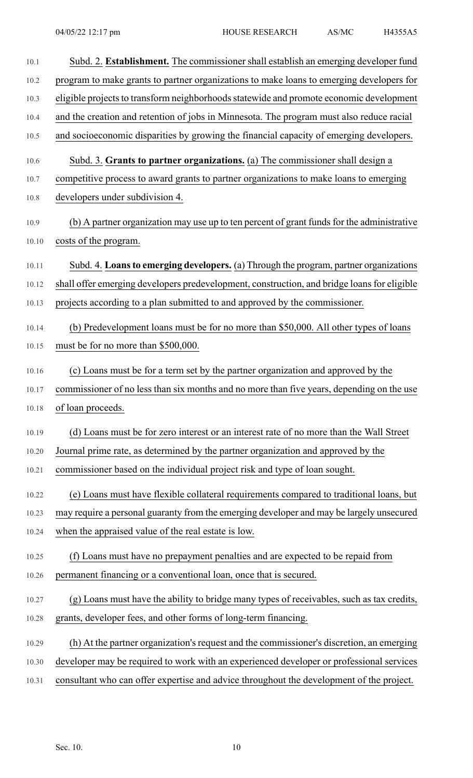| 10.1  | Subd. 2. Establishment. The commissioner shall establish an emerging developer fund         |
|-------|---------------------------------------------------------------------------------------------|
| 10.2  | program to make grants to partner organizations to make loans to emerging developers for    |
| 10.3  | eligible projects to transform neighborhoods statewide and promote economic development     |
| 10.4  | and the creation and retention of jobs in Minnesota. The program must also reduce racial    |
| 10.5  | and socioeconomic disparities by growing the financial capacity of emerging developers.     |
| 10.6  | Subd. 3. Grants to partner organizations. (a) The commissioner shall design a               |
| 10.7  | competitive process to award grants to partner organizations to make loans to emerging      |
| 10.8  | developers under subdivision 4.                                                             |
| 10.9  | (b) A partner organization may use up to ten percent of grant funds for the administrative  |
| 10.10 | costs of the program.                                                                       |
| 10.11 | Subd. 4. Loans to emerging developers. (a) Through the program, partner organizations       |
| 10.12 | shall offer emerging developers predevelopment, construction, and bridge loans for eligible |
| 10.13 | projects according to a plan submitted to and approved by the commissioner.                 |
| 10.14 | (b) Predevelopment loans must be for no more than \$50,000. All other types of loans        |
| 10.15 | must be for no more than \$500,000.                                                         |
| 10.16 | (c) Loans must be for a term set by the partner organization and approved by the            |
| 10.17 | commissioner of no less than six months and no more than five years, depending on the use   |
| 10.18 | of loan proceeds.                                                                           |
| 10.19 | (d) Loans must be for zero interest or an interest rate of no more than the Wall Street     |
| 10.20 | Journal prime rate, as determined by the partner organization and approved by the           |
| 10.21 | commissioner based on the individual project risk and type of loan sought.                  |
| 10.22 | (e) Loans must have flexible collateral requirements compared to traditional loans, but     |
| 10.23 | may require a personal guaranty from the emerging developer and may be largely unsecured    |
| 10.24 | when the appraised value of the real estate is low.                                         |
| 10.25 | (f) Loans must have no prepayment penalties and are expected to be repaid from              |
| 10.26 | permanent financing or a conventional loan, once that is secured.                           |
| 10.27 | (g) Loans must have the ability to bridge many types of receivables, such as tax credits,   |
| 10.28 | grants, developer fees, and other forms of long-term financing.                             |
| 10.29 | (h) At the partner organization's request and the commissioner's discretion, an emerging    |
| 10.30 | developer may be required to work with an experienced developer or professional services    |
| 10.31 | consultant who can offer expertise and advice throughout the development of the project.    |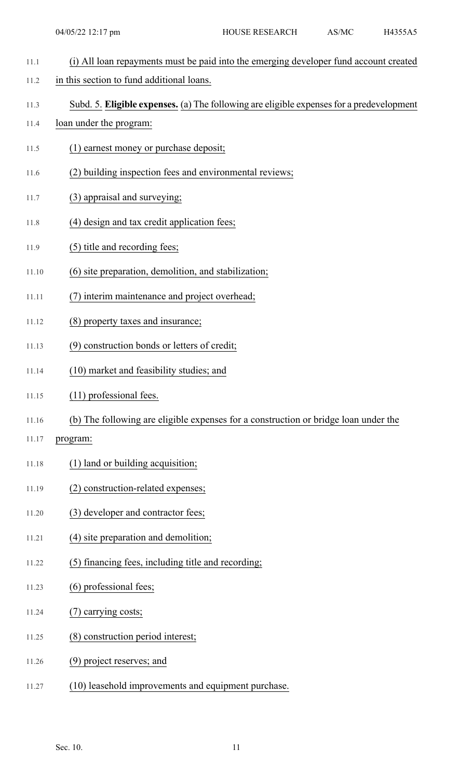- 11.1 (i) All loan repayments must be paid into the emerging developer fund account created
- 11.2 in this section to fund additional loans.
- 11.3 Subd. 5. **Eligible expenses.** (a) The following are eligible expensesfor a predevelopment
- 11.4 loan under the program:
- 11.5 (1) earnest money or purchase deposit;
- 11.6 (2) building inspection fees and environmental reviews;
- 11.7 (3) appraisal and surveying;
- 11.8 (4) design and tax credit application fees;
- 11.9 (5) title and recording fees;
- 11.10 (6) site preparation, demolition, and stabilization;
- 11.11 (7) interim maintenance and project overhead;
- 11.12 (8) property taxes and insurance;
- 11.13 (9) construction bonds or letters of credit;
- 11.14 (10) market and feasibility studies; and
- 11.15 (11) professional fees.
- 11.16 (b) The following are eligible expenses for a construction or bridge loan under the
- 11.17 program:
- 11.18 (1) land or building acquisition;
- 11.19 (2) construction-related expenses;
- 11.20 (3) developer and contractor fees;
- 11.21 (4) site preparation and demolition;
- 11.22 (5) financing fees, including title and recording;
- 11.23 (6) professional fees;
- 11.24 (7) carrying costs;
- 11.25 (8) construction period interest;
- 11.26 (9) project reserves; and
- 11.27 (10) leasehold improvements and equipment purchase.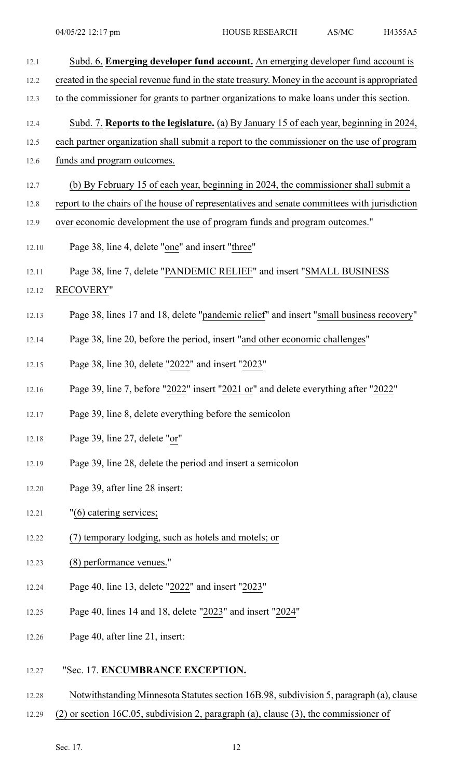| 12.1  | Subd. 6. Emerging developer fund account. An emerging developer fund account is                 |
|-------|-------------------------------------------------------------------------------------------------|
| 12.2  | created in the special revenue fund in the state treasury. Money in the account is appropriated |
| 12.3  | to the commissioner for grants to partner organizations to make loans under this section.       |
| 12.4  | Subd. 7. Reports to the legislature. (a) By January 15 of each year, beginning in 2024,         |
| 12.5  | each partner organization shall submit a report to the commissioner on the use of program       |
| 12.6  | funds and program outcomes.                                                                     |
| 12.7  | (b) By February 15 of each year, beginning in 2024, the commissioner shall submit a             |
| 12.8  | report to the chairs of the house of representatives and senate committees with jurisdiction    |
| 12.9  | over economic development the use of program funds and program outcomes."                       |
| 12.10 | Page 38, line 4, delete "one" and insert "three"                                                |
| 12.11 | Page 38, line 7, delete "PANDEMIC RELIEF" and insert "SMALL BUSINESS                            |
| 12.12 | <b>RECOVERY"</b>                                                                                |
| 12.13 | Page 38, lines 17 and 18, delete "pandemic relief" and insert "small business recovery"         |
| 12.14 | Page 38, line 20, before the period, insert "and other economic challenges"                     |
| 12.15 | Page 38, line 30, delete "2022" and insert "2023"                                               |
| 12.16 | Page 39, line 7, before "2022" insert "2021 or" and delete everything after "2022"              |
| 12.17 | Page 39, line 8, delete everything before the semicolon                                         |
| 12.18 | Page 39, line 27, delete "or"                                                                   |
| 12.19 | Page 39, line 28, delete the period and insert a semicolon                                      |
| 12.20 | Page 39, after line 28 insert:                                                                  |
| 12.21 | "(6) catering services;                                                                         |
| 12.22 | (7) temporary lodging, such as hotels and motels; or                                            |
| 12.23 | (8) performance venues."                                                                        |
| 12.24 | Page 40, line 13, delete "2022" and insert "2023"                                               |
| 12.25 | Page 40, lines 14 and 18, delete "2023" and insert "2024"                                       |
| 12.26 | Page 40, after line 21, insert:                                                                 |
| 12.27 | "Sec. 17. ENCUMBRANCE EXCEPTION.                                                                |

- 12.28 Notwithstanding Minnesota Statutes section 16B.98, subdivision 5, paragraph (a), clause
- 12.29 (2) or section 16C.05, subdivision 2, paragraph (a), clause (3), the commissioner of